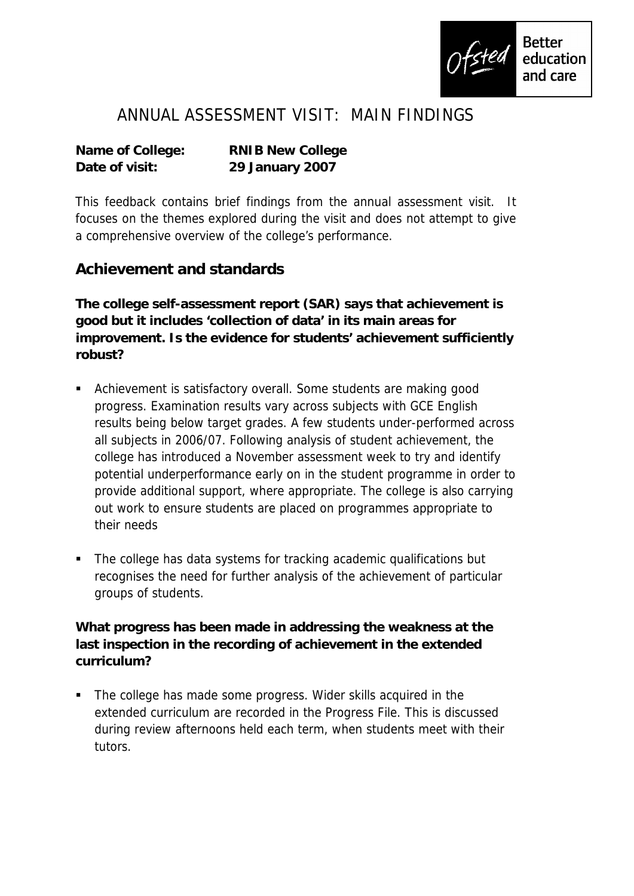

## ANNUAL ASSESSMENT VISIT: MAIN FINDINGS

| Name of College: | <b>RNIB New College</b> |
|------------------|-------------------------|
| Date of visit:   | 29 January 2007         |

This feedback contains brief findings from the annual assessment visit. It focuses on the themes explored during the visit and does not attempt to give a comprehensive overview of the college's performance.

## **Achievement and standards**

**The college self-assessment report (SAR) says that achievement is good but it includes 'collection of data' in its main areas for improvement. Is the evidence for students' achievement sufficiently robust?**

- Achievement is satisfactory overall. Some students are making good progress. Examination results vary across subjects with GCE English results being below target grades. A few students under-performed across all subjects in 2006/07. Following analysis of student achievement, the college has introduced a November assessment week to try and identify potential underperformance early on in the student programme in order to provide additional support, where appropriate. The college is also carrying out work to ensure students are placed on programmes appropriate to their needs
- The college has data systems for tracking academic qualifications but recognises the need for further analysis of the achievement of particular groups of students.

**What progress has been made in addressing the weakness at the last inspection in the recording of achievement in the extended curriculum?**

• The college has made some progress. Wider skills acquired in the extended curriculum are recorded in the Progress File. This is discussed during review afternoons held each term, when students meet with their tutors.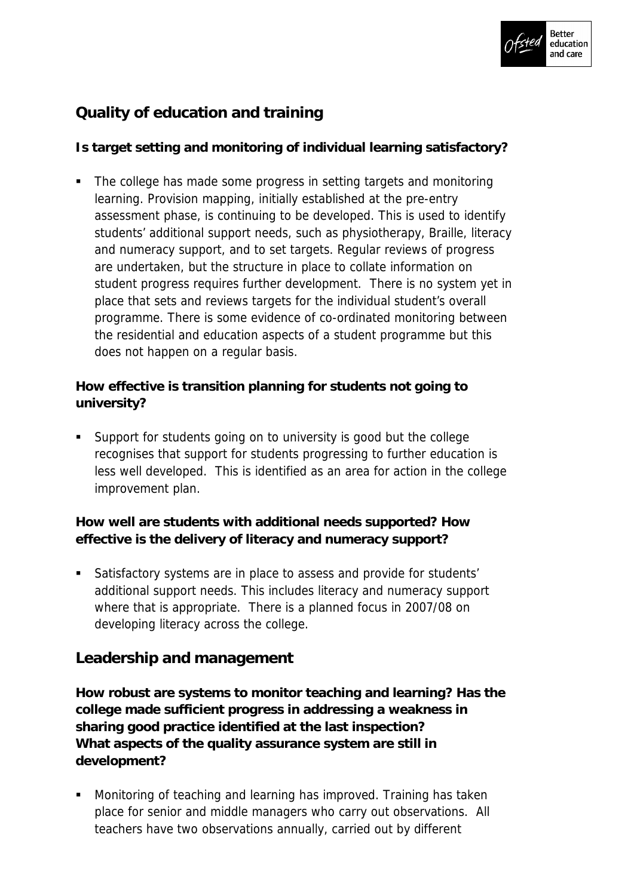

## **Quality of education and training**

**Is target setting and monitoring of individual learning satisfactory?** 

• The college has made some progress in setting targets and monitoring learning. Provision mapping, initially established at the pre-entry assessment phase, is continuing to be developed. This is used to identify students' additional support needs, such as physiotherapy, Braille, literacy and numeracy support, and to set targets. Regular reviews of progress are undertaken, but the structure in place to collate information on student progress requires further development. There is no system yet in place that sets and reviews targets for the individual student's overall programme. There is some evidence of co-ordinated monitoring between the residential and education aspects of a student programme but this does not happen on a regular basis.

**How effective is transition planning for students not going to university?**

 Support for students going on to university is good but the college recognises that support for students progressing to further education is less well developed. This is identified as an area for action in the college improvement plan.

**How well are students with additional needs supported? How effective is the delivery of literacy and numeracy support?**

 Satisfactory systems are in place to assess and provide for students' additional support needs. This includes literacy and numeracy support where that is appropriate. There is a planned focus in 2007/08 on developing literacy across the college.

## **Leadership and management**

**How robust are systems to monitor teaching and learning? Has the college made sufficient progress in addressing a weakness in sharing good practice identified at the last inspection? What aspects of the quality assurance system are still in development?**

 Monitoring of teaching and learning has improved. Training has taken place for senior and middle managers who carry out observations. All teachers have two observations annually, carried out by different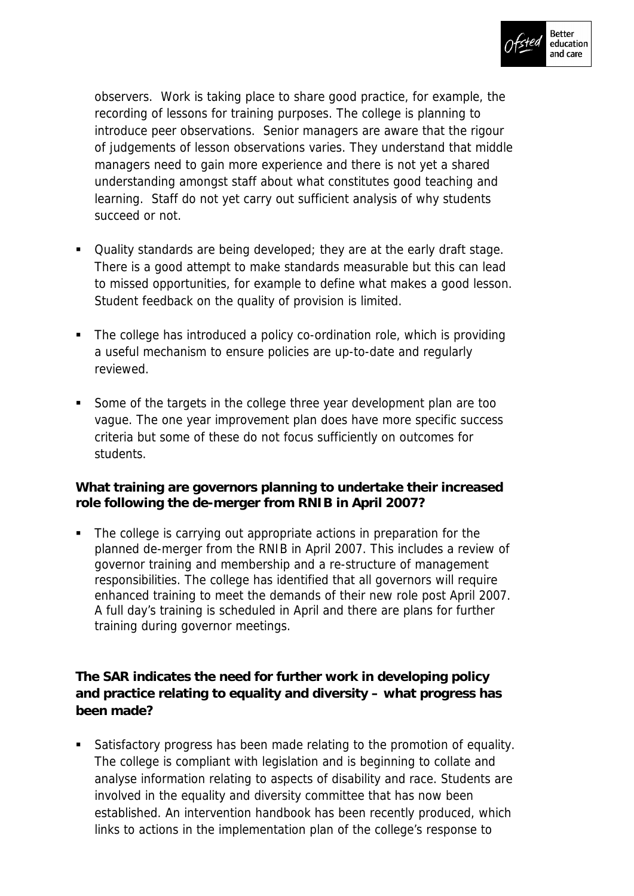

observers. Work is taking place to share good practice, for example, the recording of lessons for training purposes. The college is planning to introduce peer observations. Senior managers are aware that the rigour of judgements of lesson observations varies. They understand that middle managers need to gain more experience and there is not yet a shared understanding amongst staff about what constitutes good teaching and learning. Staff do not yet carry out sufficient analysis of why students succeed or not.

- Quality standards are being developed; they are at the early draft stage. There is a good attempt to make standards measurable but this can lead to missed opportunities, for example to define what makes a good lesson. Student feedback on the quality of provision is limited.
- The college has introduced a policy co-ordination role, which is providing a useful mechanism to ensure policies are up-to-date and regularly reviewed.
- Some of the targets in the college three year development plan are too vague. The one year improvement plan does have more specific success criteria but some of these do not focus sufficiently on outcomes for students.

**What training are governors planning to undertake their increased role following the de-merger from RNIB in April 2007?**

 The college is carrying out appropriate actions in preparation for the planned de-merger from the RNIB in April 2007. This includes a review of governor training and membership and a re-structure of management responsibilities. The college has identified that all governors will require enhanced training to meet the demands of their new role post April 2007. A full day's training is scheduled in April and there are plans for further training during governor meetings.

**The SAR indicates the need for further work in developing policy and practice relating to equality and diversity – what progress has been made?**

 Satisfactory progress has been made relating to the promotion of equality. The college is compliant with legislation and is beginning to collate and analyse information relating to aspects of disability and race. Students are involved in the equality and diversity committee that has now been established. An intervention handbook has been recently produced, which links to actions in the implementation plan of the college's response to